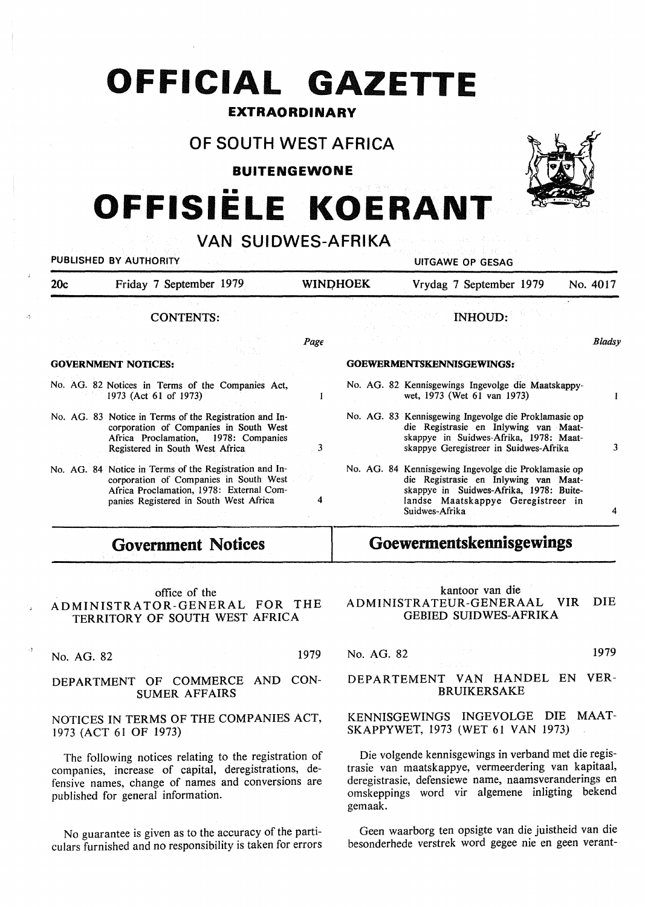## **OFFICIAL GAZETTE**

#### **EXTRAORDINARY**

### **OF SOUTH WEST AFRICA**

**BUITENGEWONE** 

# •• **OFFISIELE KOERANT**

| PUBLISHED BY AUTHORITY     |                                                                                                                                                                                        | <b>UITGAWE OP GESAG</b> |                                  |                                                                                                                                                                                   |                                                                                                                                                                                |        |  |
|----------------------------|----------------------------------------------------------------------------------------------------------------------------------------------------------------------------------------|-------------------------|----------------------------------|-----------------------------------------------------------------------------------------------------------------------------------------------------------------------------------|--------------------------------------------------------------------------------------------------------------------------------------------------------------------------------|--------|--|
| 20c                        | Friday 7 September 1979                                                                                                                                                                | <b>WINDHOEK</b>         |                                  | Vrydag 7 September 1979<br>No. 4017                                                                                                                                               |                                                                                                                                                                                |        |  |
|                            | <b>CONTENTS:</b>                                                                                                                                                                       |                         |                                  |                                                                                                                                                                                   | <b>INHOUD:</b>                                                                                                                                                                 |        |  |
|                            |                                                                                                                                                                                        | Page                    |                                  |                                                                                                                                                                                   |                                                                                                                                                                                | Bladsy |  |
| <b>GOVERNMENT NOTICES:</b> |                                                                                                                                                                                        |                         | <b>GOEWERMENTSKENNISGEWINGS:</b> |                                                                                                                                                                                   |                                                                                                                                                                                |        |  |
|                            | No. AG. 82 Notices in Terms of the Companies Act,<br>1973 (Act 61 of 1973)                                                                                                             |                         |                                  |                                                                                                                                                                                   | No. AG. 82 Kennisgewings Ingevolge die Maatskappy-<br>wet, 1973 (Wet 61 van 1973)                                                                                              |        |  |
|                            | No. AG. 83 Notice in Terms of the Registration and In-<br>corporation of Companies in South West<br>Africa Proclamation, 1978: Companies<br>Registered in South West Africa            |                         |                                  | No. AG. 83 Kennisgewing Ingevolge die Proklamasie op<br>die Registrasie en Inlywing van Maat-<br>skappye in Suidwes-Afrika, 1978: Maat-<br>skappye Geregistreer in Suidwes-Afrika |                                                                                                                                                                                |        |  |
|                            | No. AG. 84 Notice in Terms of the Registration and In-<br>corporation of Companies in South West<br>Africa Proclamation, 1978: External Com-<br>panies Registered in South West Africa | 4                       |                                  | Suidwes-Afrika                                                                                                                                                                    | No. AG. 84 Kennisgewing Ingevolge die Proklamasie op<br>die Registrasie en Inlywing van Maat-<br>skappye in Suidwes-Afrika, 1978: Buite-<br>landse Maatskappye Geregistreer in |        |  |
| <b>Government Notices</b>  |                                                                                                                                                                                        |                         |                                  |                                                                                                                                                                                   | Goewermentskennisgewings                                                                                                                                                       |        |  |

#### office of the ADMINISTRATOR-GENERAL FOR THE TERRITORY OF SOUTH WEST AFRICA

No. AG. 82 1979

#### DEPARTMENT OF COMMERCE AND CON-SUMER AFFAIRS

#### NOTICES IN TERMS OF THE COMPANIES ACT, 1973 (ACT 61 OF 1973)

The following notices relating to the registration of companies, increase of capital, deregistrations, defensive names, change of names and conversions are published for general information.

No guarantee is given as to the accuracy of the particulars furnished and no responsibility is taken for errors

#### kantoor van die ADMINISTRATEUR-GENERAAL VIR DIE GEBIED SUIDWES-AFRIKA

#### No. AG. 82 1979

#### DEPARTEMENT VAN HANDEL EN VER-BRUIKERSAKE

#### KENNISGEWINGS INGEVOLGE DIE MAAT-SKAPPYWET, 1973 (WET 61 VAN 1973)

Die volgende kennisgewings in verband met die registrasie van maatskappye, vermeerdering van kapitaal, deregistrasie, defensiewe name, naamsveranderings en omskeppings word vir algemene inligting bekend gemaak.

Geen waarborg ten opsigte van die juistheid van die besonderhede verstrek word gegee nie en geen verant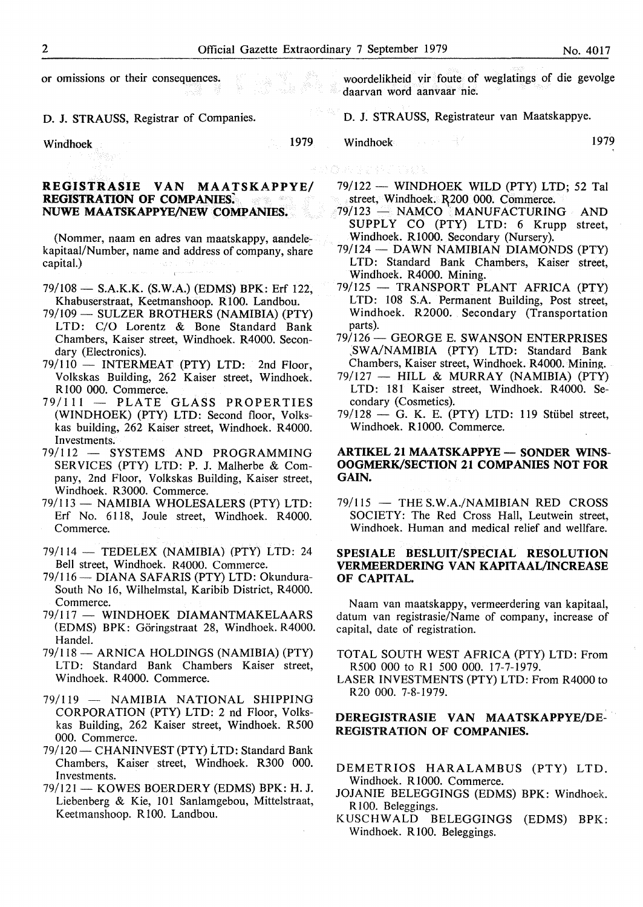or omissions or their consequences.

D. J. STRAUSS, Registrar of Companies.

Windhoek 1979

#### **REGISTRASIE VAN MAA TSKAPPYE/ REGISTRATION OF COMPANIES: NUWE MAATSKAPPYE/NEW COMPANIES.**

(Nommer, naam en adres van maatskappy, aandelekapitaal/Number, name and address of company, share capital.)

- 79/108 **S.A.K.K. (S.W.A.) (EDMS) BPK:** Erf 122, Khabuserstraat, Keetmanshoop. R 100. Landbou.
- 79/109 SULZER BROTHERS (NAMIBIA) (PTY) LTD: C/O Lorentz & Bone Standard Bank Chambers, Kaiser street, Windhoek. R4000. Secondary (Electronics).
- 79/110 INTERMEAT (PTY) LTD: 2nd Floor, Volkskas Building, 262 Kaiser street, Windhoek. R 100 000. Commerce.
- 79/111 PLATE GLASS PROPERTIES (WINDHOEK) (PTY) LTD: Second floor, Volkskas building, 262 Kaiser street, Windhoek. R4000. Investments.
- 79/112 SYSTEMS AND PROGRAMMING SERVICES (PTY) LTD: P. J. Malherbe & Company, 2nd Floor, Volkskas Building, Kaiser street, Windhoek. R3000. Commerce.
- 79/113 NAMIBIA WHOLESALERS (PTY) LTD: Erf No. 6118, Joule street, Windhoek. R4000. Commerce.
- 79/114 TEDELEX (NAMIBIA) (PTY) LTD: 24 Bell street, Windhoek. R4000. Commerce.
- 79/116 DIANA SAFARIS (PTY) LTD: Okundura-South No 16, Wilhelmstal, Karibib District, R4000. Commerce.
- 79/117 **WINDHOEK DIAMANTMAKELAARS (EDMS) BPK:** Goringstraat 28, Windhoek. R4000. Handel.
- 79/118 **ARNICA HOLDINGS (NAMIBIA) (PTY)**  LTD: Standard Bank Chambers Kaiser street, Windhoek. R4000. Commerce.
- 79/119 NAMIBIA NATIONAL SHIPPING CORPORATION (PTY) LTD: 2 nd Floor, Volkskas Building, 262 Kaiser street, Windhoek. R500 000. Commerce.
- 79/120 CHANINVEST (PTY) LTD: Standard Bank Chambers, Kaiser street, Windhoek. R300 000. Investments.
- 79/121 KOWES BOERDERY (EDMS) BPK: H.J. Liebenberg & Kie, 101 Sanlamgebou, Mittelstraat, Keetmanshoop. Rl00. Landbou.

woordelikheid vir foute of weglatings of die gevolge daarvan word aanvaar nie.

D. J. STRAUSS, Registrateur van Maatskappye.

Windhoek 1979

- 79/122 WINDHOEK WILD (PTY) LTD; 52 Tal street, Windhoek. R200 000. Commerce.
- 79/123 NAMCO MANUFACTURING AND SUPPLY CO (PTY) LTD: 6 Krupp street, Windhoek. R1000. Secondary (Nursery).
- 79/124 DAWN NAMIBIAN DIAMONDS (PTY) LTD: Standard Bank Chambers, Kaiser street, Windhoek. R4000. Mining.
- 79/125 TRANSPORT PLANT AFRICA (PTY) LTD: 108 S.A. Permanent Building, Post street, Windhoek. R2000. Secondary (Transportation parts).
- 79/126- GEORGE E. SWANSON ENTERPRISES *:sw* A/NAMIBIA (PTY) LTD: Standard Bank Chambers, Kaiser street, Windhoek. R4000. Mining;.
- 79/127 HILL & MURRAY (NAMIBIA) (PTY) LTD: 181 Kaiser street, Windhoek. R4000. Secondary (Cosmetics).
- $79/128$  G. K. E. (PTY) LTD: 119 Stübel street, Windhoek. R1000. Commerce.

#### **ARTIKEL 21 MAATSKAPPYE - SONDER WINS-OOGMERK/SECTION 21 COMPANIES NOT FOR GAIN.**

79/115 - THE S.W.A./NAMIBIAN RED CROSS SOCIETY: The Red Cross Hall, Leutwein street, Windhoek. Human and medical relief and wellfare.

#### **SPESIALE BESLUIT/SPECIAL RESOLUTION VERMEERDERING VAN KAPITAAL/INCREASE OF CAPITAL.**

Naam van maatskappy, vermeerdering van kapitaal, datum van registrasie/Name of company, increase of capital, date of registration.

- TOTAL SOUTH WEST AFRICA (PTY) LTD: From R500 000 to RI 500 000. 17-7-1979.
- LASER INVESTMENTS (PTY) LTD: From R4000 to R20 000. 7-8-1979.

#### **DEREGISTRASIE VAN MAATSKAPPYE/DE-REGISTRATION OF COMPANIES.**

- DEMETRIOS HARALAMBUS (PTY) LTD. Windhoek. R 1000. Commerce.
- JOJANIE BELEGGINGS (EDMS) BPK: Windhoek. R100. Beleggings.
- KUSCHWALD BELEGGINGS (EDMS) BPK: Windhoek. R100. Beleggings.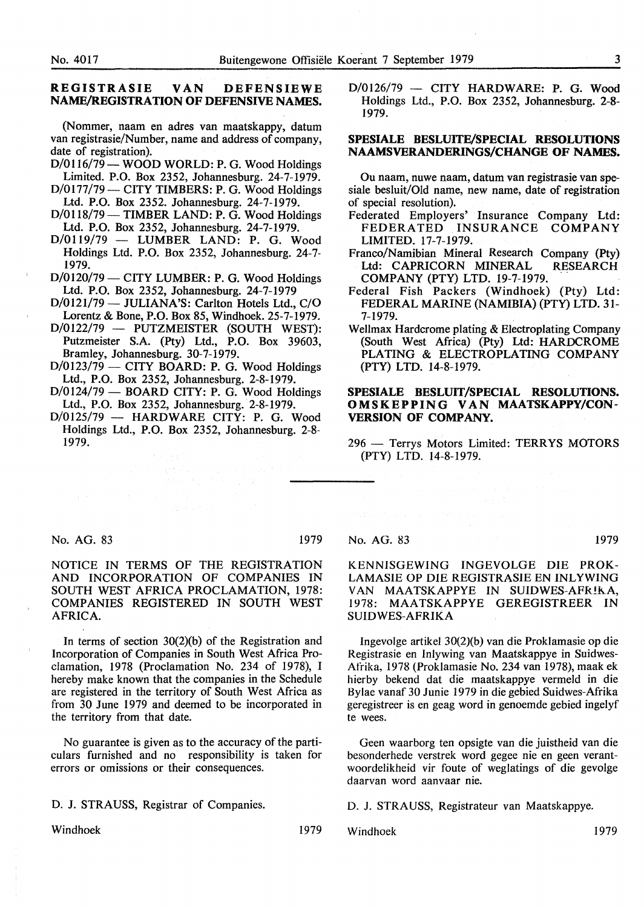#### **REGISTRASIE VAN DEFENSIEWE NAME/REGISTRATION OF DEFENSIVE NAMES.**

(Nommer, naam en adres van maatskappy, datum van registrasie/Number, name and address of company, date of registration).

D/0116/79- **WOOD WORLD: P.** G. Wood Holdings Limited. P.O. Box 2352, Johannesburg. 24-7-1979.

- D/0177/79 CITY TIMBERS: P. G. Wood Holdings Ltd. P.O. Box 2352. Johannesburg. 24-7-1979.
- $D/0118/79$  TIMBER LAND: P. G. Wood Holdings Ltd. P.O. Box 2352, Johannesburg. 24-7-1979.
- $D/0119/79$  LUMBER LAND: P. G. Wood Holdings Ltd. P.O. Box 2352, Johannesburg. 24-7- 1979.
- D/0120/79 CITY LUMBER: P. G. Wood Holdings Ltd. P.O. Box 2352, Johannesburg. 24-7-1979
- D/0121/79 JULIANA'S: Carlton Hotels Ltd., C/O Lorentz & Bone, P.O. Box 85, Windhoek. 25-7-1979.
- D/0122/79 PUTZMEISTER (SOUTH WEST): Putzmeister S.A. (Pty) Ltd., P.O. Box 39603, Bramley, Johannesburg. 30-7-1979.
- $D/0123/79$  CITY BOARD: P. G. Wood Holdings Ltd., P.O. Box 2352, Johannesburg. 2-8-1979.
- $D/0124/79$  BOARD CITY: P. G. Wood Holdings Ltd., P.O. Box 2352, Johannesburg. 2-8-1979.
- $D/0125/79$  HARDWARE CITY: P. G. Wood Holdings Ltd., P.O. Box 2352, Johannesburg. 2-8- 1979.

 $D/0126/79$  - CITY HARDWARE: P. G. Wood Holdings Ltd., P.O. Box 2352, Johannesburg. 2-8- 1979.

#### **SPESIALE BESLUITE/SPECIAL RESOLUTIONS NAAMSVERANDERINGS/CHANGE OF NAMES.**

Ou naam, nuwe naam, datum van registrasie van spesiale besluit/Old name, new name, date of registration of special resolution).

- Federated Employers' Insurance Company Ltd: FEDERATED INSURANCE COMPANY LIMITED. 17-7-1979.
- Franco/Namibian Mineral Research Company (Pty) Ltd: CAPRICORN MINERAL RESEARCH COMPANY (PTY) LTD. 19-7-1979.
- Federal Fish Packers (Windhoek) (Pty) Ltd: FEDERAL MARINE (NAMIBIA) (PTY) LTD. 31- 7-1979.
- Wellmax Hardcrome plating & Electroplating Company (South West Africa) (Pty) Ltd: HARDCROME PLATING & ELECTROPLATING COMPANY (PTY) LTD. 14-8-1979.

#### **SPESIALE BESLUIT/SPECIAL RESOLUTIONS. OMSKEPPING VAN MAATSKAPPY/CON-VERSION OF COMPANY.**

296 - Terrys Motors Limited: TERRYS MOTORS (PTY) LTD. 14-8-1979.

#### No. AG. 83 1979

#### NOTICE IN TERMS OF THE REGISTRATION AND INCORPORATION OF COMPANIES IN SOUTH WEST AFRICA PROCLAMATION, 1978: COMPANIES REGISTERED IN SOUTH WEST AFRICA.

In terms of section  $30(2)(b)$  of the Registration and Incorporation of Companies in South West Africa Proclamation, 1978 (Proclamation No. 234 of 1978), I hereby make known that the companies in the Schedule are registered in the territory of South West Africa as from 30 June 1979 and deemed to be incorporated in the territory from that date.

No guarantee is given as to the accuracy of the particulars furnished and no responsibility is taken for errors or omissions or their consequences.

D. J. STRAUSS, Registrar of Companies.

Windhoek 1979

#### No. AG. 83 1979

#### **KENNISGEWING INGEVOLGE DIE PROK-LAMASIE OP DIE REGISTRASIE EN INLYWING VAN MAA TSKAPPYE IN SUIDWES-AFR!K.A,**  1978: MAATSKAPPYE GEREGISTREER IN **SUIDWES-AFRIKA**

Ingevolge artikel 30(2)(b) van die Proklamasie op die Registrasie en Inlywing van Maatskappye in Suidwes-Afrika, 1978 (Proklamasie No. 234 van 1978), maak ek hierby bekend dat die maatskappye vermeld in die Bylae vanaf 30 Junie 1979 in die gebied Suidwes-Afrika geregistreer is en geag word in genoemde gebied ingelyf te wees.

Geen waarborg ten opsigte van die juistheid van die besonderhede verstrek word gegee nie en geen verantwoordelikheid vir foute of weglatings of die gevolge daarvan word aanvaar nie.

D. J. STRAUSS, Registrateur van Maatskappye.

Windhoek 1979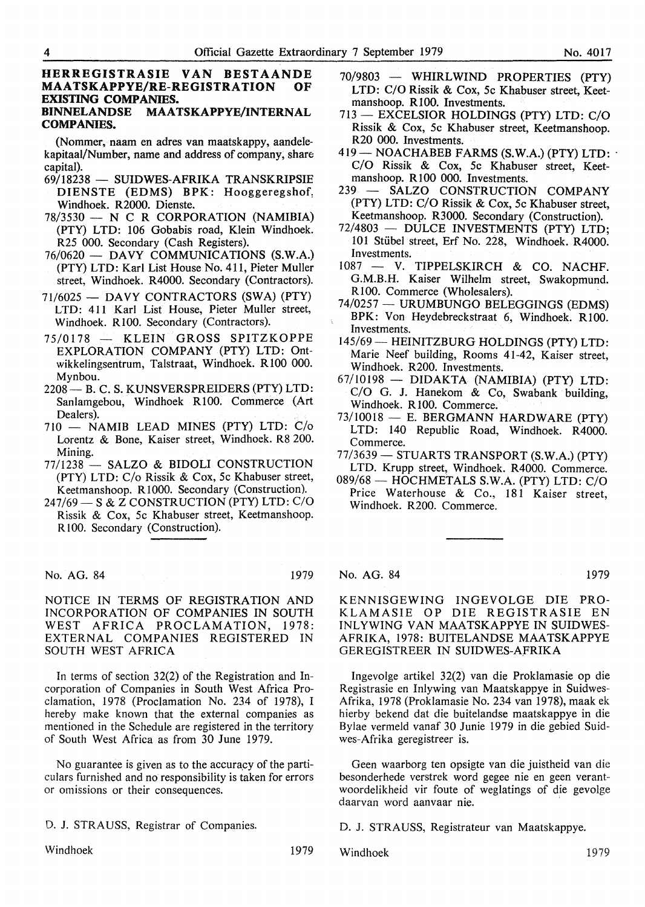#### **HERREGISTRASIE VAN BESTAANDE**<br>**MAATSKAPPYE/RE-REGISTRATION OF MAATSKAPPYE/RE-REGISTRATION EXISTING COMPANIES. BINNELANDSE MAATSKAPPYE/INTERNAL**

### **COMPANIES.**

(Nommer, naam en adres van maatskappy, aandelekapitaal/Number, name and address of company, share capital).

- 69/18238 **SUIDWES-AFRIKA TRANSKRIPSIE DIEN STE (EDMS) BPK:** Hooggeregshof, Windhoek. R2000. Dienste.
- $78/3530 N C R CORPORTION (NAMIBIA)$ (PTY) LTD: 106 Gobabis road, Klein Windhoek. R25 000. Secondary (Cash Registers).
- 76/0620 DAVY COMMUNICATIONS (S.W.A.) (PTY) LTD: Karl List House No. 411, Pieter Muller street, Windhoek. R4000. Secondary (Contractors).
- 71/6025 DAVY CONTRACTORS (SWA) (PTY) LTD: 411 Karl List House, Pieter Muller street, Windhoek. R100. Secondary (Contractors).
- 75/0178 KLEIN GROSS SPITZKOPPE EXPLORATION COMPANY (PTY) LTD: Ontwikkelingsentrum, Talstraat, Windhoek. R100 000. Mynbou.
- 2208- B. C. S. KUNSVERSPREIDERS (PTY) LTD: Sanlamgebou, Windhoek R100. Commerce (Art Dealers).
- 710 NAMIB LEAD MINES (PTY) LTD: C/o Lorentz & Bone, Kaiser street, Windhoek. R8 200. Mining.
- 77/1238 SALZO & BIDOLI CONSTRUCTION (PTY) LTD: C/o Rissik & Cox, 5c Khabuser street, Keetmanshoop. R1000. Secondary (Construction).
- $247/69$  S & Z CONSTRUCTION (PTY) LTD: C/O Rissik & Cox, 5c Khabuser street, Keetmanshoop. RlOO. Secondary (Construction).

No. AG. 84 1979

NOTICE IN TERMS OF REGISTRATION AND INCORPORATION OF COMPANIES IN SOUTH WEST AFRICA PROCLAMATION, 1978: EXTERNAL COMPANIES REGISTERED IN SOUTH WEST AFRICA

In terms of section 32(2) of the Registration and Incorporation of Companies in South West Africa Proclamation, 1978 (Proclamation No. 234 of 1978), I hereby make known that the external companies as mentioned in the Schedule are registered in the territory of South West Africa as from 30 June 1979.

No guarantee is given as to the accuracy of the particulars furnished and no responsibility is taken for errors or omissions or their consequences.

D. J. STRAUSS, Registrar of Companies.

Windhoek 1979

- 70/9803 WHIRLWIND PROPERTIES (PTY) LTD: C/O Rissik & Cox, 5c Khabuser street, Keetmanshoop. R100. Investments.
- 713 EXCELSIOR HOLDINGS (PTY) LTD: C/O Rissik & Cox, 5c Khabuser street, Keetmanshoop. R20 000. Investments.
- 419- NOACHABEB FARMS (S.W.A.) (PTY) LTD: C/O Rissik & Cox, 5c Khabuser street, Keetmanshoop. R 100 000. Investments.
- 239 SALZO CONSTRUCTION COMPANY (PTY) LTD: C/O Rissik & Cox, 5c Khabuser street, Keetmanshoop. R3000. Secondary (Construction).
- 72/4803 DULCE INVESTMENTS (PTY) LTD; 101 Stiibel street, Erf No. 228, Windhoek. R4000. Investments.
- 1087 V. TIPPELSKIRCH & CO. NACHF. G.M.B.H. Kaiser Wilhelm street, Swakopmund. RlOO. Commerce (Wholesalers).
- 74/0257 URUMBUNGO BELEGGINGS (EDMS) BPK: Von Heydebreckstraat 6, Windhoek. R100. Investments.
- 145/69 HEINITZBURG HOLDINGS (PTY) LTD: Marie Neef building, Rooms 41-42, Kaiser street, Windhoek. R200. Investments.
- 67/10198 DIDAKTA (NAMIBIA) (PTY) LTD: C/O G. J. Hanekom & Co, Swabank building, Windhoek. R100. Commerce.
- 73/10018 E. BERGMANN HARDWARE (PTY) LTD: 140 Republic Road, Windhoek. R4000. Commerce.
- $77/3639$  STUARTS TRANSPORT (S.W.A.) (PTY) LTD. Krupp street, Windhoek. R4000. Commerce.
- 089/68 HOCHMETALS S.W.A. (PTY) LTD: C/O Price Waterhouse & Co., 181 Kaiser street, Windhoek. R200. Commerce.

#### No. AG. 84 1979

KENNISGEWING INGEVOLGE DIE PRO-KLAM ASIE OP DIE REGISTRASIE EN INL YWING VAN MAATSKAPPYE IN SUIDWES-AFRIKA, 1978: BUITELANDSE MAATSKAPPYE GEREGISTREER IN SUIDWES-AFRIKA

Ingevolge artikel 32(2) van die Proklamasie op die Registrasie en Inlywing van Maatskappye in Suidwes-Afrika, 1978 (Proklamasie No. 234 van 1978), maak ek hierby bekend dat die buitelandse maatskappye in die Bylae vermeld vanaf 30 Junie 1979 in die gebied Suidwes-Afrika geregistreer is.

Geen waarborg ten opsigte van die juistheid van die besonderhede verstrek word gegee nie en geen verantwoordelikheid vir foute of weglatings of die gevolge daarvan word aanvaar nie.

D. J. STRAUSS, Registrateur van Maatskappye.

Windhoek 1979